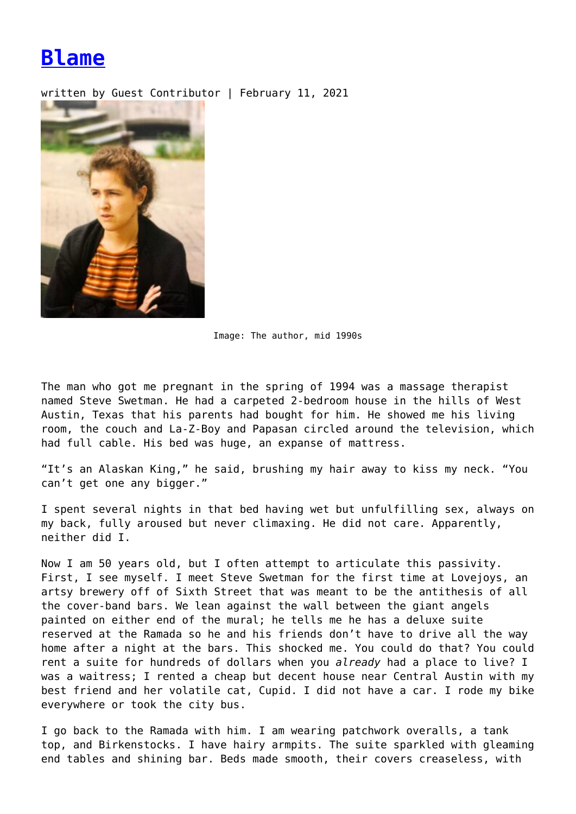## **[Blame](https://entropymag.org/blame/)**

written by Guest Contributor | February 11, 2021



Image: The author, mid 1990s

The man who got me pregnant in the spring of 1994 was a massage therapist named Steve Swetman. He had a carpeted 2-bedroom house in the hills of West Austin, Texas that his parents had bought for him. He showed me his living room, the couch and La-Z-Boy and Papasan circled around the television, which had full cable. His bed was huge, an expanse of mattress.

"It's an Alaskan King," he said, brushing my hair away to kiss my neck. "You can't get one any bigger."

I spent several nights in that bed having wet but unfulfilling sex, always on my back, fully aroused but never climaxing. He did not care. Apparently, neither did I.

Now I am 50 years old, but I often attempt to articulate this passivity. First, I see myself. I meet Steve Swetman for the first time at Lovejoys, an artsy brewery off of Sixth Street that was meant to be the antithesis of all the cover-band bars. We lean against the wall between the giant angels painted on either end of the mural; he tells me he has a deluxe suite reserved at the Ramada so he and his friends don't have to drive all the way home after a night at the bars. This shocked me. You could do that? You could rent a suite for hundreds of dollars when you *already* had a place to live? I was a waitress; I rented a cheap but decent house near Central Austin with my best friend and her volatile cat, Cupid. I did not have a car. I rode my bike everywhere or took the city bus.

I go back to the Ramada with him. I am wearing patchwork overalls, a tank top, and Birkenstocks. I have hairy armpits. The suite sparkled with gleaming end tables and shining bar. Beds made smooth, their covers creaseless, with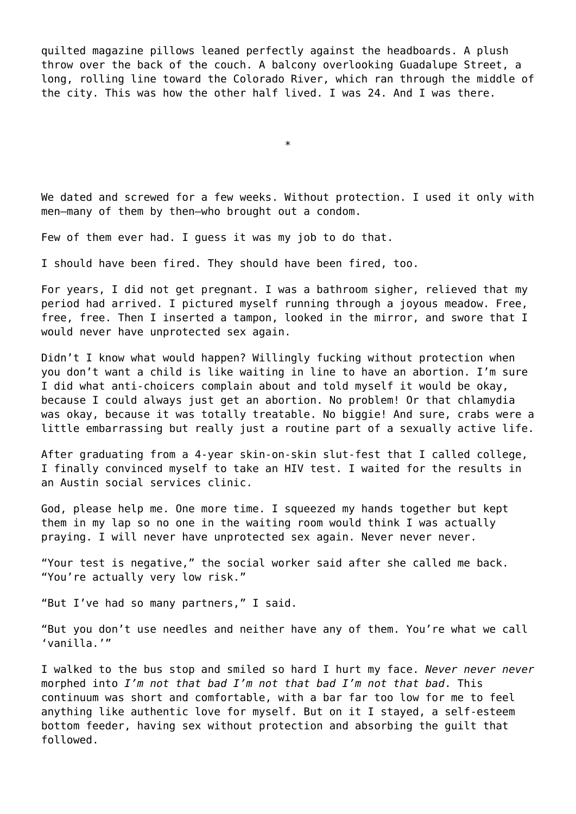quilted magazine pillows leaned perfectly against the headboards. A plush throw over the back of the couch. A balcony overlooking Guadalupe Street, a long, rolling line toward the Colorado River, which ran through the middle of the city. This was how the other half lived. I was 24. And I was there.

\*

We dated and screwed for a few weeks. Without protection. I used it only with men—many of them by then—who brought out a condom.

Few of them ever had. I guess it was my job to do that.

I should have been fired. They should have been fired, too.

For years, I did not get pregnant. I was a bathroom sigher, relieved that my period had arrived. I pictured myself running through a joyous meadow. Free, free, free. Then I inserted a tampon, looked in the mirror, and swore that I would never have unprotected sex again.

Didn't I know what would happen? Willingly fucking without protection when you don't want a child is like waiting in line to have an abortion. I'm sure I did what anti-choicers complain about and told myself it would be okay, because I could always just get an abortion. No problem! Or that chlamydia was okay, because it was totally treatable. No biggie! And sure, crabs were a little embarrassing but really just a routine part of a sexually active life.

After graduating from a 4-year skin-on-skin slut-fest that I called college, I finally convinced myself to take an HIV test. I waited for the results in an Austin social services clinic.

God, please help me. One more time. I squeezed my hands together but kept them in my lap so no one in the waiting room would think I was actually praying. I will never have unprotected sex again. Never never never.

"Your test is negative," the social worker said after she called me back. "You're actually very low risk."

"But I've had so many partners," I said.

"But you don't use needles and neither have any of them. You're what we call 'vanilla.'"

I walked to the bus stop and smiled so hard I hurt my face. *Never never never* morphed into *I'm not that bad I'm not that bad I'm not that bad*. This continuum was short and comfortable, with a bar far too low for me to feel anything like authentic love for myself. But on it I stayed, a self-esteem bottom feeder, having sex without protection and absorbing the guilt that followed.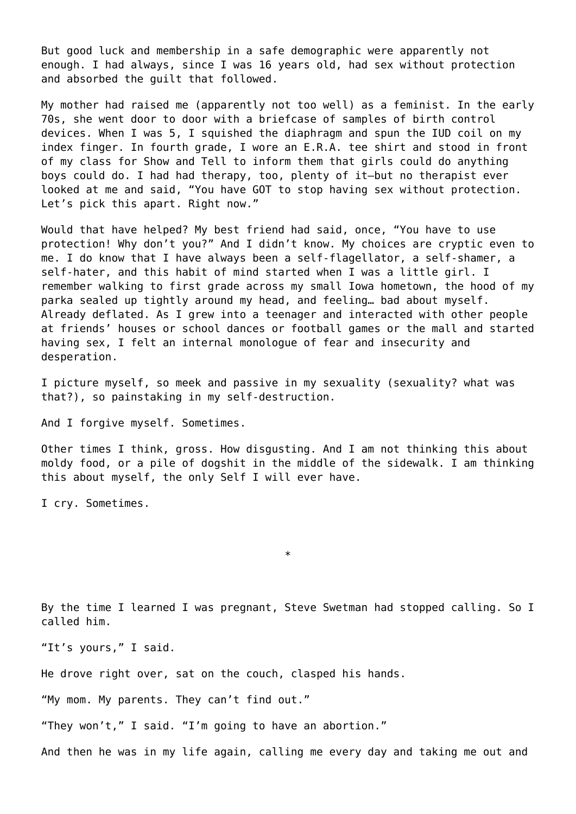But good luck and membership in a safe demographic were apparently not enough. I had always, since I was 16 years old, had sex without protection and absorbed the guilt that followed.

My mother had raised me (apparently not too well) as a feminist. In the early 70s, she went door to door with a briefcase of samples of birth control devices. When I was 5, I squished the diaphragm and spun the IUD coil on my index finger. In fourth grade, I wore an E.R.A. tee shirt and stood in front of my class for Show and Tell to inform them that girls could do anything boys could do. I had had therapy, too, plenty of it—but no therapist ever looked at me and said, "You have GOT to stop having sex without protection. Let's pick this apart. Right now."

Would that have helped? My best friend had said, once, "You have to use protection! Why don't you?" And I didn't know. My choices are cryptic even to me. I do know that I have always been a self-flagellator, a self-shamer, a self-hater, and this habit of mind started when I was a little girl. I remember walking to first grade across my small Iowa hometown, the hood of my parka sealed up tightly around my head, and feeling… bad about myself. Already deflated. As I grew into a teenager and interacted with other people at friends' houses or school dances or football games or the mall and started having sex, I felt an internal monologue of fear and insecurity and desperation.

I picture myself, so meek and passive in my sexuality (sexuality? what was that?), so painstaking in my self-destruction.

And I forgive myself. Sometimes.

Other times I think, gross. How disgusting. And I am not thinking this about moldy food, or a pile of dogshit in the middle of the sidewalk. I am thinking this about myself, the only Self I will ever have.

I cry. Sometimes.

By the time I learned I was pregnant, Steve Swetman had stopped calling. So I called him.

\*

"It's yours," I said.

He drove right over, sat on the couch, clasped his hands.

"My mom. My parents. They can't find out."

"They won't," I said. "I'm going to have an abortion."

And then he was in my life again, calling me every day and taking me out and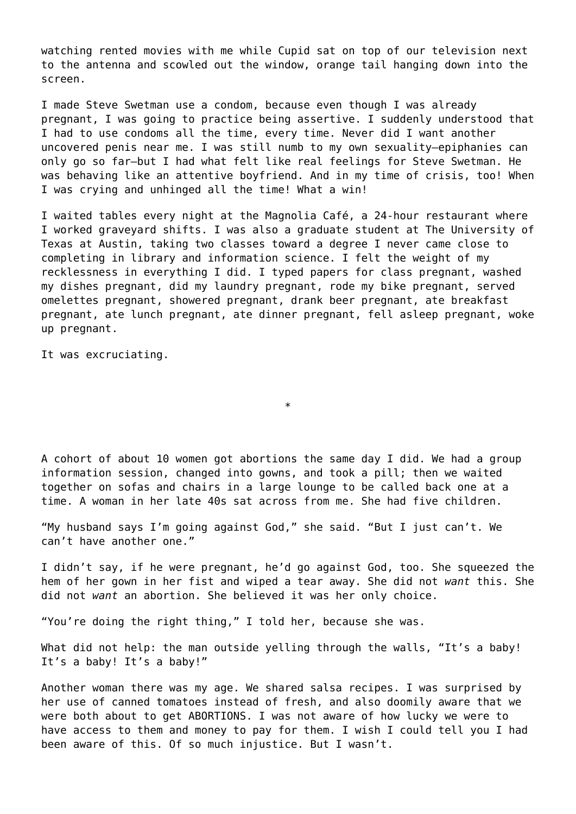watching rented movies with me while Cupid sat on top of our television next to the antenna and scowled out the window, orange tail hanging down into the screen.

I made Steve Swetman use a condom, because even though I was already pregnant, I was going to practice being assertive. I suddenly understood that I had to use condoms all the time, every time. Never did I want another uncovered penis near me. I was still numb to my own sexuality—epiphanies can only go so far—but I had what felt like real feelings for Steve Swetman. He was behaving like an attentive boyfriend. And in my time of crisis, too! When I was crying and unhinged all the time! What a win!

I waited tables every night at the Magnolia Café, a 24-hour restaurant where I worked graveyard shifts. I was also a graduate student at The University of Texas at Austin, taking two classes toward a degree I never came close to completing in library and information science. I felt the weight of my recklessness in everything I did. I typed papers for class pregnant, washed my dishes pregnant, did my laundry pregnant, rode my bike pregnant, served omelettes pregnant, showered pregnant, drank beer pregnant, ate breakfast pregnant, ate lunch pregnant, ate dinner pregnant, fell asleep pregnant, woke up pregnant.

It was excruciating.

A cohort of about 10 women got abortions the same day I did. We had a group information session, changed into gowns, and took a pill; then we waited together on sofas and chairs in a large lounge to be called back one at a time. A woman in her late 40s sat across from me. She had five children.

\*

"My husband says I'm going against God," she said. "But I just can't. We can't have another one."

I didn't say, if he were pregnant, he'd go against God, too. She squeezed the hem of her gown in her fist and wiped a tear away. She did not *want* this. She did not *want* an abortion. She believed it was her only choice.

"You're doing the right thing," I told her, because she was.

What did not help: the man outside yelling through the walls, "It's a baby! It's a baby! It's a baby!"

Another woman there was my age. We shared salsa recipes. I was surprised by her use of canned tomatoes instead of fresh, and also doomily aware that we were both about to get ABORTIONS. I was not aware of how lucky we were to have access to them and money to pay for them. I wish I could tell you I had been aware of this. Of so much injustice. But I wasn't.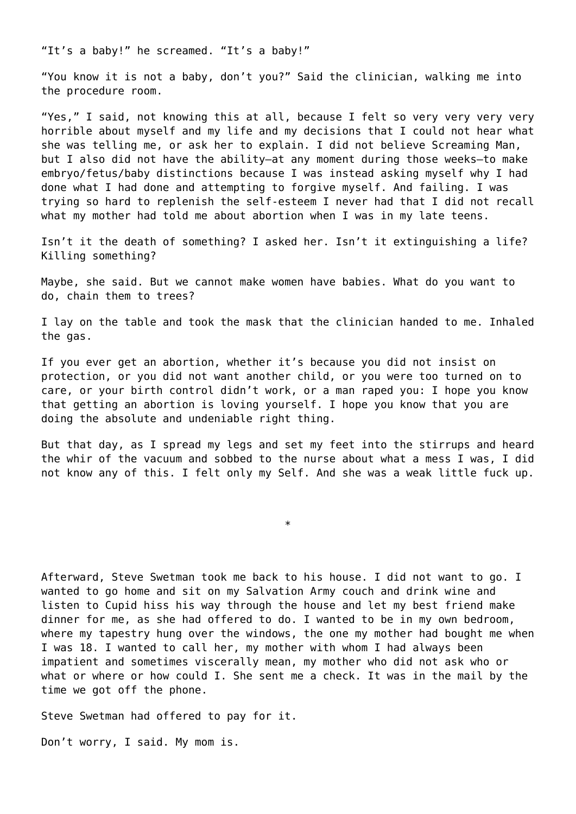"It's a baby!" he screamed. "It's a baby!"

"You know it is not a baby, don't you?" Said the clinician, walking me into the procedure room.

"Yes," I said, not knowing this at all, because I felt so very very very very horrible about myself and my life and my decisions that I could not hear what she was telling me, or ask her to explain. I did not believe Screaming Man, but I also did not have the ability—at any moment during those weeks—to make embryo/fetus/baby distinctions because I was instead asking myself why I had done what I had done and attempting to forgive myself. And failing. I was trying so hard to replenish the self-esteem I never had that I did not recall what my mother had told me about abortion when I was in my late teens.

Isn't it the death of something? I asked her. Isn't it extinguishing a life? Killing something?

Maybe, she said. But we cannot make women have babies. What do you want to do, chain them to trees?

I lay on the table and took the mask that the clinician handed to me. Inhaled the gas.

If you ever get an abortion, whether it's because you did not insist on protection, or you did not want another child, or you were too turned on to care, or your birth control didn't work, or a man raped you: I hope you know that getting an abortion is loving yourself. I hope you know that you are doing the absolute and undeniable right thing.

But that day, as I spread my legs and set my feet into the stirrups and heard the whir of the vacuum and sobbed to the nurse about what a mess I was, I did not know any of this. I felt only my Self. And she was a weak little fuck up.

\*

Afterward, Steve Swetman took me back to his house. I did not want to go. I wanted to go home and sit on my Salvation Army couch and drink wine and listen to Cupid hiss his way through the house and let my best friend make dinner for me, as she had offered to do. I wanted to be in my own bedroom, where my tapestry hung over the windows, the one my mother had bought me when I was 18. I wanted to call her, my mother with whom I had always been impatient and sometimes viscerally mean, my mother who did not ask who or what or where or how could I. She sent me a check. It was in the mail by the time we got off the phone.

Steve Swetman had offered to pay for it.

Don't worry, I said. My mom is.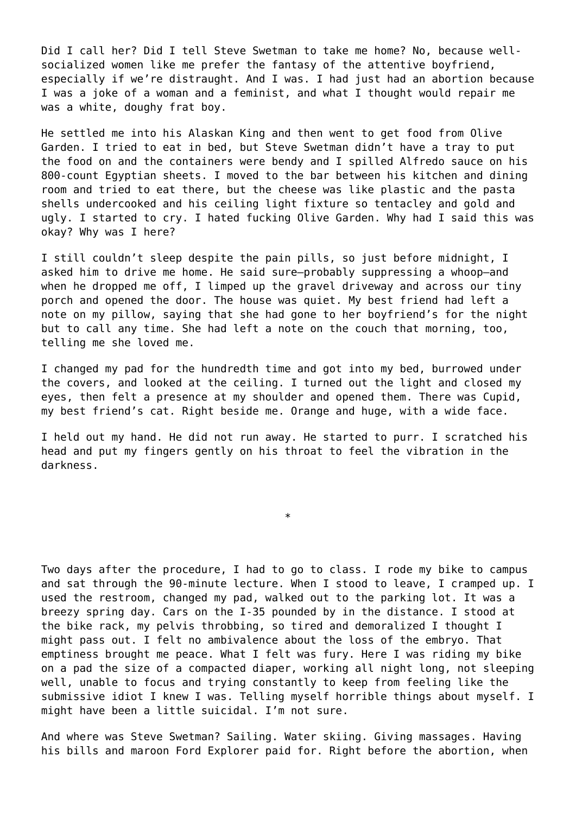Did I call her? Did I tell Steve Swetman to take me home? No, because wellsocialized women like me prefer the fantasy of the attentive boyfriend, especially if we're distraught. And I was. I had just had an abortion because I was a joke of a woman and a feminist, and what I thought would repair me was a white, doughy frat boy.

He settled me into his Alaskan King and then went to get food from Olive Garden. I tried to eat in bed, but Steve Swetman didn't have a tray to put the food on and the containers were bendy and I spilled Alfredo sauce on his 800-count Egyptian sheets. I moved to the bar between his kitchen and dining room and tried to eat there, but the cheese was like plastic and the pasta shells undercooked and his ceiling light fixture so tentacley and gold and ugly. I started to cry. I hated fucking Olive Garden. Why had I said this was okay? Why was I here?

I still couldn't sleep despite the pain pills, so just before midnight, I asked him to drive me home. He said sure—probably suppressing a whoop—and when he dropped me off, I limped up the gravel driveway and across our tiny porch and opened the door. The house was quiet. My best friend had left a note on my pillow, saying that she had gone to her boyfriend's for the night but to call any time. She had left a note on the couch that morning, too, telling me she loved me.

I changed my pad for the hundredth time and got into my bed, burrowed under the covers, and looked at the ceiling. I turned out the light and closed my eyes, then felt a presence at my shoulder and opened them. There was Cupid, my best friend's cat. Right beside me. Orange and huge, with a wide face.

I held out my hand. He did not run away. He started to purr. I scratched his head and put my fingers gently on his throat to feel the vibration in the darkness.

\*

Two days after the procedure, I had to go to class. I rode my bike to campus and sat through the 90-minute lecture. When I stood to leave, I cramped up. I used the restroom, changed my pad, walked out to the parking lot. It was a breezy spring day. Cars on the I-35 pounded by in the distance. I stood at the bike rack, my pelvis throbbing, so tired and demoralized I thought I might pass out. I felt no ambivalence about the loss of the embryo. That emptiness brought me peace. What I felt was fury. Here I was riding my bike on a pad the size of a compacted diaper, working all night long, not sleeping well, unable to focus and trying constantly to keep from feeling like the submissive idiot I knew I was. Telling myself horrible things about myself. I might have been a little suicidal. I'm not sure.

And where was Steve Swetman? Sailing. Water skiing. Giving massages. Having his bills and maroon Ford Explorer paid for. Right before the abortion, when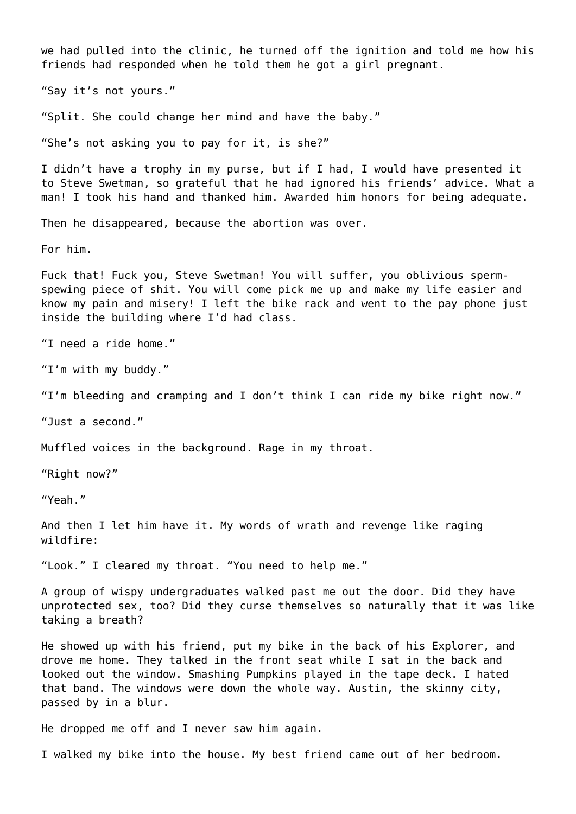we had pulled into the clinic, he turned off the ignition and told me how his friends had responded when he told them he got a girl pregnant.

"Say it's not yours."

"Split. She could change her mind and have the baby."

"She's not asking you to pay for it, is she?"

I didn't have a trophy in my purse, but if I had, I would have presented it to Steve Swetman, so grateful that he had ignored his friends' advice. What a man! I took his hand and thanked him. Awarded him honors for being adequate.

Then he disappeared, because the abortion was over.

For him.

Fuck that! Fuck you, Steve Swetman! You will suffer, you oblivious spermspewing piece of shit. You will come pick me up and make my life easier and know my pain and misery! I left the bike rack and went to the pay phone just inside the building where I'd had class.

"I need a ride home."

"I'm with my buddy."

"I'm bleeding and cramping and I don't think I can ride my bike right now."

"Just a second."

Muffled voices in the background. Rage in my throat.

"Right now?"

"Yeah."

And then I let him have it. My words of wrath and revenge like raging wildfire:

"Look." I cleared my throat. "You need to help me."

A group of wispy undergraduates walked past me out the door. Did they have unprotected sex, too? Did they curse themselves so naturally that it was like taking a breath?

He showed up with his friend, put my bike in the back of his Explorer, and drove me home. They talked in the front seat while I sat in the back and looked out the window. Smashing Pumpkins played in the tape deck. I hated that band. The windows were down the whole way. Austin, the skinny city, passed by in a blur.

He dropped me off and I never saw him again.

I walked my bike into the house. My best friend came out of her bedroom.